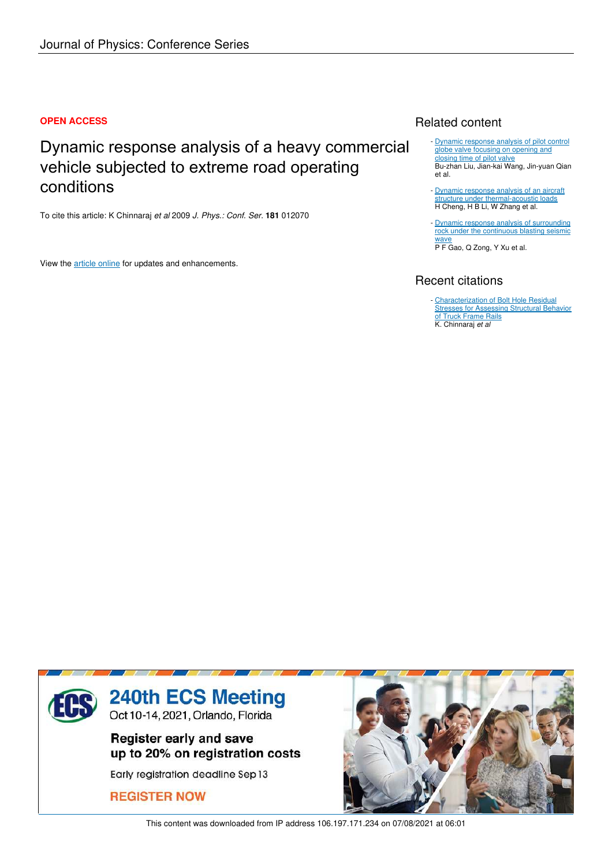## **OPEN ACCESS**

# Dynamic response analysis of a heavy commercial vehicle subjected to extreme road operating conditions

To cite this article: K Chinnaraj *et al* 2009 *J. Phys.: Conf. Ser.* **181** 012070

View the article online for updates and enhancements.

# Related content

- Dynamic response analysis of pilot control globe valve focusing on opening and closing time of pilot valve Bu-zhan Liu, Jian-kai Wang, Jin-yuan Qian et al.
- **Dynamic response analysis of an aircraft** structure under thermal-acoustic loads H Cheng, H B Li, W Zhang et al.
- Dynamic response analysis of surrounding rock under the continuous blasting seismic wave P F Gao, Q Zong, Y Xu et al. -

# Recent citations

- Characterization of Bolt Hole Residual **Stresses for Assessing Structural Behavior** of Truck Frame Rails K. Chinnaraj *et al*



This content was downloaded from IP address 106.197.171.234 on 07/08/2021 at 06:01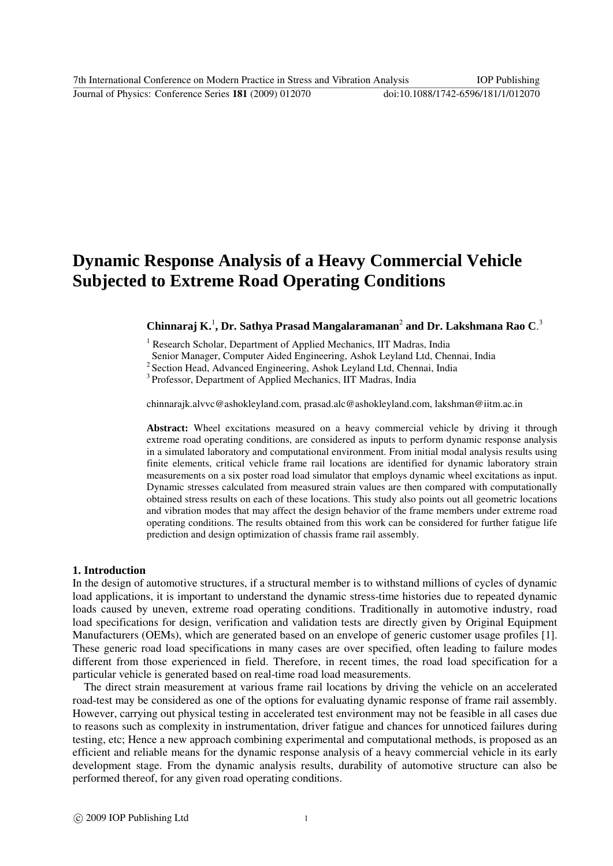# **Dynamic Response Analysis of a Heavy Commercial Vehicle Subjected to Extreme Road Operating Conditions**

# Chinnaraj K.<sup>1</sup>, Dr. Sathya Prasad Mangalaramanan<sup>2</sup> and Dr. Lakshmana Rao C.<sup>3</sup>

<sup>1</sup> Research Scholar, Department of Applied Mechanics, IIT Madras, India

Senior Manager, Computer Aided Engineering, Ashok Leyland Ltd, Chennai, India

<sup>2</sup> Section Head, Advanced Engineering, Ashok Leyland Ltd, Chennai, India

<sup>3</sup> Professor, Department of Applied Mechanics, IIT Madras, India

chinnarajk.alvvc@ashokleyland.com, prasad.alc@ashokleyland.com, lakshman@iitm.ac.in

**Abstract:** Wheel excitations measured on a heavy commercial vehicle by driving it through extreme road operating conditions, are considered as inputs to perform dynamic response analysis in a simulated laboratory and computational environment. From initial modal analysis results using finite elements, critical vehicle frame rail locations are identified for dynamic laboratory strain measurements on a six poster road load simulator that employs dynamic wheel excitations as input. Dynamic stresses calculated from measured strain values are then compared with computationally obtained stress results on each of these locations. This study also points out all geometric locations and vibration modes that may affect the design behavior of the frame members under extreme road operating conditions. The results obtained from this work can be considered for further fatigue life prediction and design optimization of chassis frame rail assembly.

#### **1. Introduction**

In the design of automotive structures, if a structural member is to withstand millions of cycles of dynamic load applications, it is important to understand the dynamic stress-time histories due to repeated dynamic loads caused by uneven, extreme road operating conditions. Traditionally in automotive industry, road load specifications for design, verification and validation tests are directly given by Original Equipment Manufacturers (OEMs), which are generated based on an envelope of generic customer usage profiles [1]. These generic road load specifications in many cases are over specified, often leading to failure modes different from those experienced in field. Therefore, in recent times, the road load specification for a particular vehicle is generated based on real-time road load measurements.

 The direct strain measurement at various frame rail locations by driving the vehicle on an accelerated road-test may be considered as one of the options for evaluating dynamic response of frame rail assembly. However, carrying out physical testing in accelerated test environment may not be feasible in all cases due to reasons such as complexity in instrumentation, driver fatigue and chances for unnoticed failures during testing, etc; Hence a new approach combining experimental and computational methods, is proposed as an efficient and reliable means for the dynamic response analysis of a heavy commercial vehicle in its early development stage. From the dynamic analysis results, durability of automotive structure can also be performed thereof, for any given road operating conditions.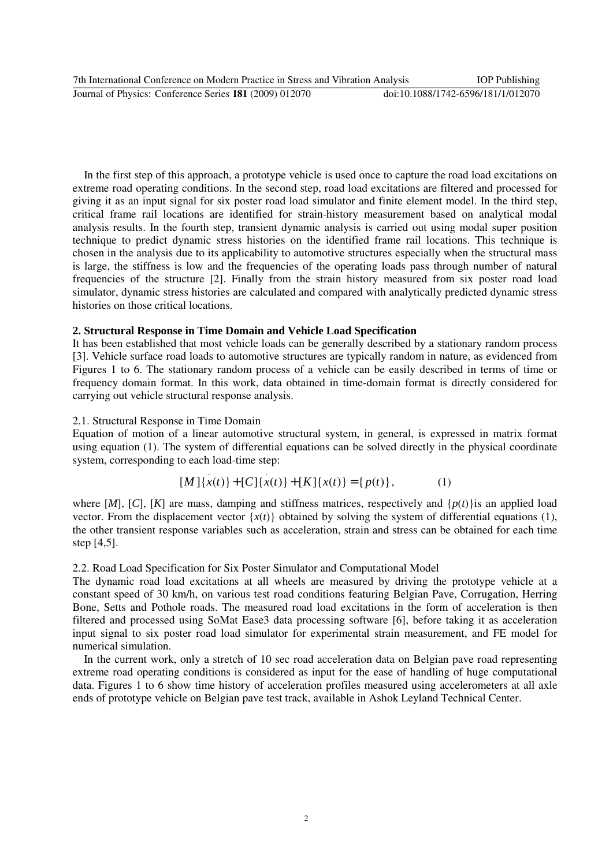In the first step of this approach, a prototype vehicle is used once to capture the road load excitations on extreme road operating conditions. In the second step, road load excitations are filtered and processed for giving it as an input signal for six poster road load simulator and finite element model. In the third step, critical frame rail locations are identified for strain-history measurement based on analytical modal analysis results. In the fourth step, transient dynamic analysis is carried out using modal super position technique to predict dynamic stress histories on the identified frame rail locations. This technique is chosen in the analysis due to its applicability to automotive structures especially when the structural mass is large, the stiffness is low and the frequencies of the operating loads pass through number of natural frequencies of the structure [2]. Finally from the strain history measured from six poster road load simulator, dynamic stress histories are calculated and compared with analytically predicted dynamic stress histories on those critical locations.

#### **2. Structural Response in Time Domain and Vehicle Load Specification**

It has been established that most vehicle loads can be generally described by a stationary random process [3]. Vehicle surface road loads to automotive structures are typically random in nature, as evidenced from Figures 1 to 6. The stationary random process of a vehicle can be easily described in terms of time or frequency domain format. In this work, data obtained in time-domain format is directly considered for carrying out vehicle structural response analysis.

#### 2.1. Structural Response in Time Domain

Equation of motion of a linear automotive structural system, in general, is expressed in matrix format using equation (1). The system of differential equations can be solved directly in the physical coordinate system, corresponding to each load-time step:

$$
[M]\{x(t)\} + [C]\{x(t)\} + [K]\{x(t)\} = \{p(t)\},
$$
 (1)

where  $[M]$ ,  $[C]$ ,  $[K]$  are mass, damping and stiffness matrices, respectively and  $\{p(t)\}\$ is an applied load vector. From the displacement vector  $\{x(t)\}$  obtained by solving the system of differential equations (1), the other transient response variables such as acceleration, strain and stress can be obtained for each time step [4,5].

#### 2.2. Road Load Specification for Six Poster Simulator and Computational Model

The dynamic road load excitations at all wheels are measured by driving the prototype vehicle at a constant speed of 30 km/h, on various test road conditions featuring Belgian Pave, Corrugation, Herring Bone, Setts and Pothole roads. The measured road load excitations in the form of acceleration is then filtered and processed using SoMat Ease3 data processing software [6], before taking it as acceleration input signal to six poster road load simulator for experimental strain measurement, and FE model for numerical simulation.

 In the current work, only a stretch of 10 sec road acceleration data on Belgian pave road representing extreme road operating conditions is considered as input for the ease of handling of huge computational data. Figures 1 to 6 show time history of acceleration profiles measured using accelerometers at all axle ends of prototype vehicle on Belgian pave test track, available in Ashok Leyland Technical Center.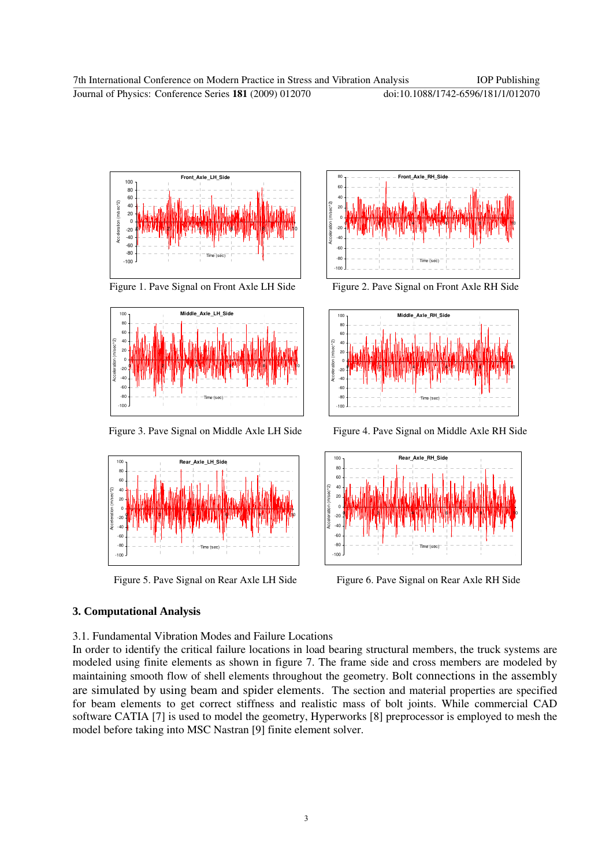Journal of Physics: Conference Series 181 (2009) 012070





Figure 3. Pave Signal on Middle Axle LH Side Figure 4. Pave Signal on Middle Axle RH Side





Figure 1. Pave Signal on Front Axle LH Side Figure 2. Pave Signal on Front Axle RH Side





Figure 5. Pave Signal on Rear Axle LH Side Figure 6. Pave Signal on Rear Axle RH Side

# **3. Computational Analysis**

3.1. Fundamental Vibration Modes and Failure Locations

In order to identify the critical failure locations in load bearing structural members, the truck systems are modeled using finite elements as shown in figure 7. The frame side and cross members are modeled by maintaining smooth flow of shell elements throughout the geometry. Bolt connections in the assembly are simulated by using beam and spider elements. The section and material properties are specified for beam elements to get correct stiffness and realistic mass of bolt joints. While commercial CAD software CATIA [7] is used to model the geometry, Hyperworks [8] preprocessor is employed to mesh the model before taking into MSC Nastran [9] finite element solver.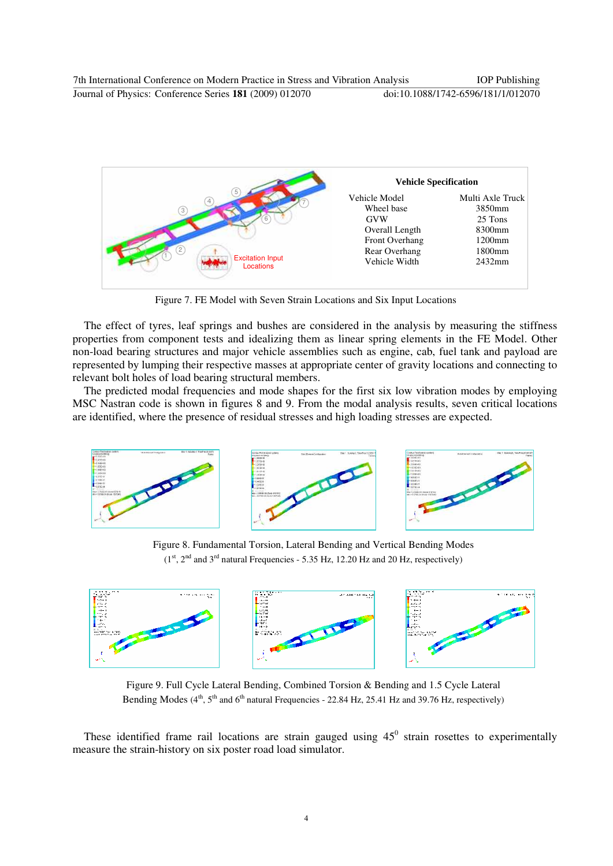

Figure 7. FE Model with Seven Strain Locations and Six Input Locations

 The effect of tyres, leaf springs and bushes are considered in the analysis by measuring the stiffness properties from component tests and idealizing them as linear spring elements in the FE Model. Other non-load bearing structures and major vehicle assemblies such as engine, cab, fuel tank and payload are represented by lumping their respective masses at appropriate center of gravity locations and connecting to relevant bolt holes of load bearing structural members.

 The predicted modal frequencies and mode shapes for the first six low vibration modes by employing MSC Nastran code is shown in figures 8 and 9. From the modal analysis results, seven critical locations are identified, where the presence of residual stresses and high loading stresses are expected.



Figure 8. Fundamental Torsion, Lateral Bending and Vertical Bending Modes  $(1<sup>st</sup>, 2<sup>nd</sup>$  and  $3<sup>rd</sup>$  natural Frequencies - 5.35 Hz, 12.20 Hz and 20 Hz, respectively)



Bending Modes (4<sup>th</sup>, 5<sup>th</sup> and 6<sup>th</sup> natural Frequencies - 22.84 Hz, 25.41 Hz and 39.76 Hz, respectively) Figure 9. Full Cycle Lateral Bending, Combined Torsion & Bending and 1.5 Cycle Lateral

These identified frame rail locations are strain gauged using  $45^{\circ}$  strain rosettes to experimentally measure the strain-history on six poster road load simulator.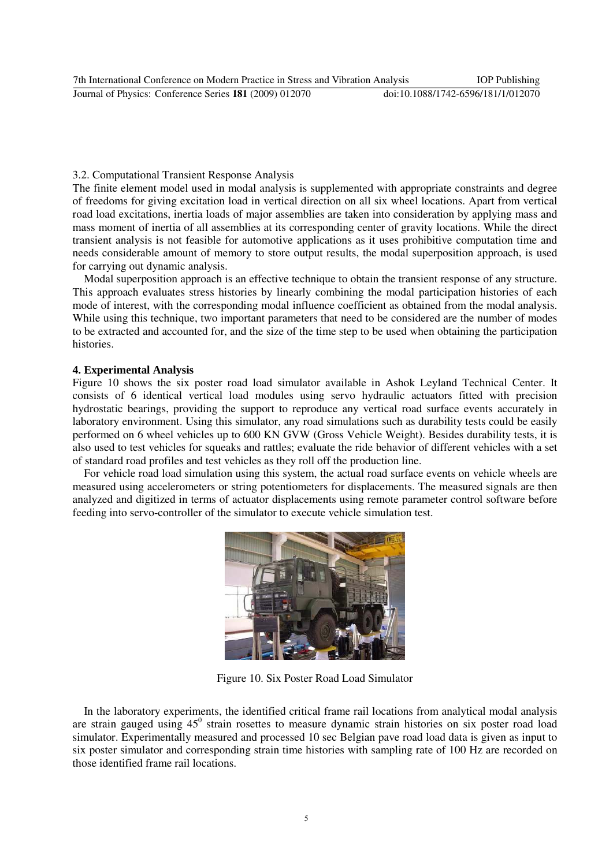#### 3.2. Computational Transient Response Analysis

The finite element model used in modal analysis is supplemented with appropriate constraints and degree of freedoms for giving excitation load in vertical direction on all six wheel locations. Apart from vertical road load excitations, inertia loads of major assemblies are taken into consideration by applying mass and mass moment of inertia of all assemblies at its corresponding center of gravity locations. While the direct transient analysis is not feasible for automotive applications as it uses prohibitive computation time and needs considerable amount of memory to store output results, the modal superposition approach, is used for carrying out dynamic analysis.

 Modal superposition approach is an effective technique to obtain the transient response of any structure. This approach evaluates stress histories by linearly combining the modal participation histories of each mode of interest, with the corresponding modal influence coefficient as obtained from the modal analysis. While using this technique, two important parameters that need to be considered are the number of modes to be extracted and accounted for, and the size of the time step to be used when obtaining the participation histories.

## **4. Experimental Analysis**

Figure 10 shows the six poster road load simulator available in Ashok Leyland Technical Center. It consists of 6 identical vertical load modules using servo hydraulic actuators fitted with precision hydrostatic bearings, providing the support to reproduce any vertical road surface events accurately in laboratory environment. Using this simulator, any road simulations such as durability tests could be easily performed on 6 wheel vehicles up to 600 KN GVW (Gross Vehicle Weight). Besides durability tests, it is also used to test vehicles for squeaks and rattles; evaluate the ride behavior of different vehicles with a set of standard road profiles and test vehicles as they roll off the production line.

 For vehicle road load simulation using this system, the actual road surface events on vehicle wheels are measured using accelerometers or string potentiometers for displacements. The measured signals are then analyzed and digitized in terms of actuator displacements using remote parameter control software before feeding into servo-controller of the simulator to execute vehicle simulation test.



Figure 10. Six Poster Road Load Simulator

 In the laboratory experiments, the identified critical frame rail locations from analytical modal analysis are strain gauged using  $45^{\circ}$  strain rosettes to measure dynamic strain histories on six poster road load simulator. Experimentally measured and processed 10 sec Belgian pave road load data is given as input to six poster simulator and corresponding strain time histories with sampling rate of 100 Hz are recorded on those identified frame rail locations.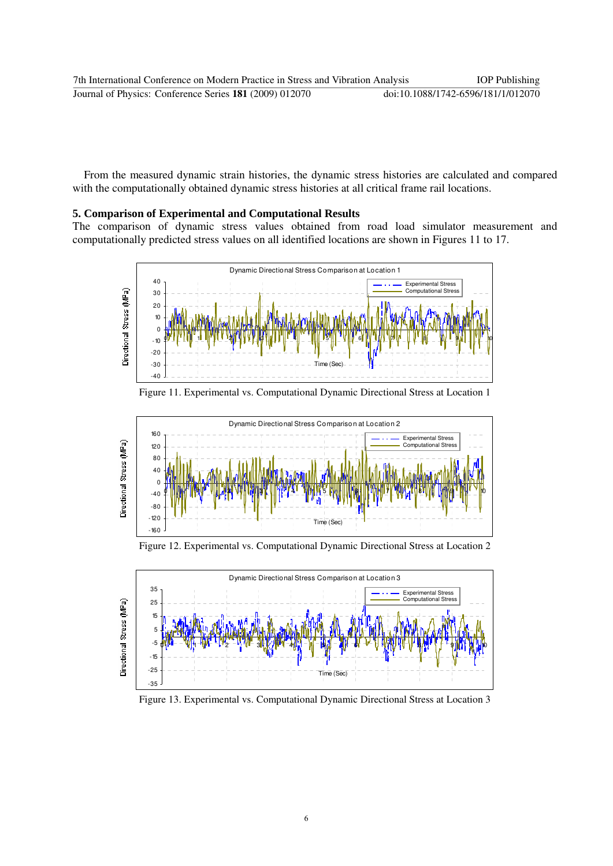From the measured dynamic strain histories, the dynamic stress histories are calculated and compared with the computationally obtained dynamic stress histories at all critical frame rail locations.

#### **5. Comparison of Experimental and Computational Results**

The comparison of dynamic stress values obtained from road load simulator measurement and computationally predicted stress values on all identified locations are shown in Figures 11 to 17.



Figure 11. Experimental vs. Computational Dynamic Directional Stress at Location 1



Figure 12. Experimental vs. Computational Dynamic Directional Stress at Location 2



Figure 13. Experimental vs. Computational Dynamic Directional Stress at Location 3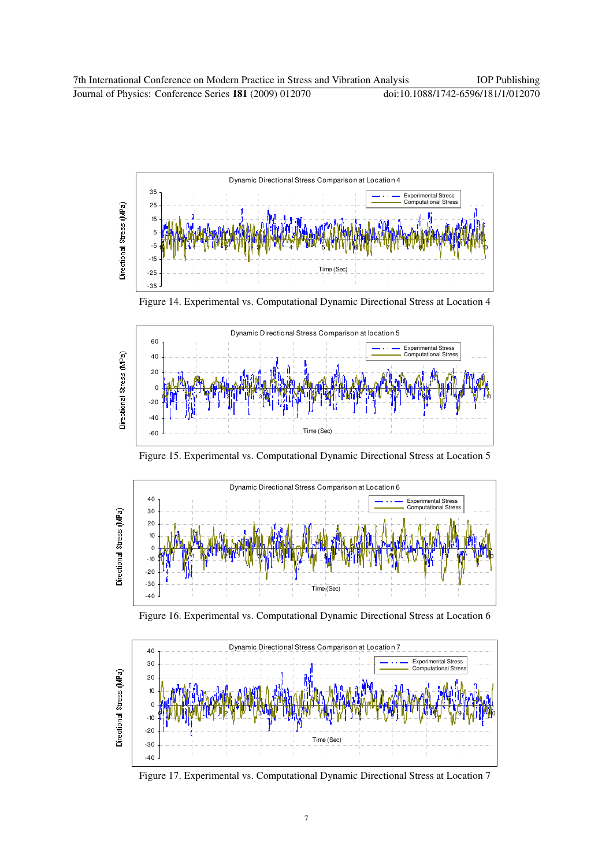

Figure 14. Experimental vs. Computational Dynamic Directional Stress at Location 4



Figure 15. Experimental vs. Computational Dynamic Directional Stress at Location 5







Figure 17. Experimental vs. Computational Dynamic Directional Stress at Location 7